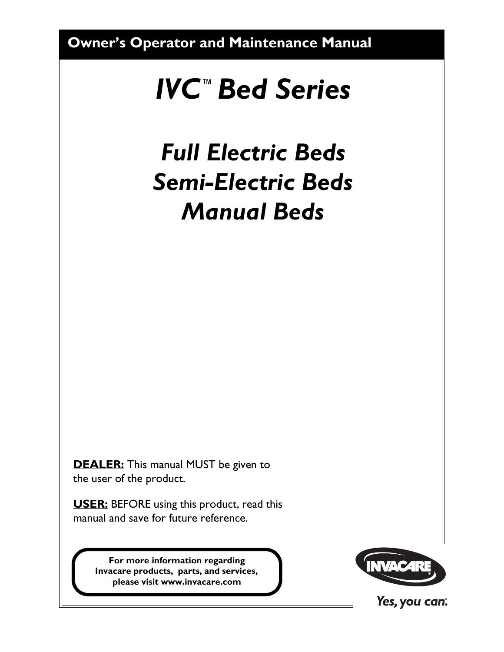**Owner's Operator and Maintenance Manual**

# <span id="page-0-0"></span>*IVC™Bed Series*

# *Full Electric Beds Semi-Electric Beds Manual Beds*

**DEALER:** This manual MUST be given to the user of the product.

**USER:** BEFORE using this product, read this manual and save for future reference.

> **For more information regarding Invacare products, parts, and services, please visit www.invacare.com**



Yes, you can: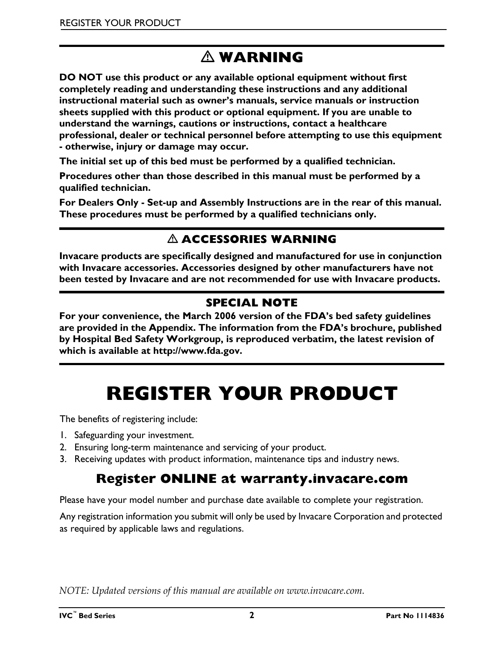# **WARNING**

**DO NOT use this product or any available optional equipment without first completely reading and understanding these instructions and any additional instructional material such as owner's manuals, service manuals or instruction sheets supplied with this product or optional equipment. If you are unable to understand the warnings, cautions or instructions, contact a healthcare professional, dealer or technical personnel before attempting to use this equipment - otherwise, injury or damage may occur.**

**The initial set up of this bed must be performed by a qualified technician.**

**Procedures other than those described in this manual must be performed by a qualified technician.**

**For Dealers Only - Set-up and Assembly Instructions are in the rear of this manual. These procedures must be performed by a qualified technicians only.**

## **ACCESSORIES WARNING**

**Invacare products are specifically designed and manufactured for use in conjunction with Invacare accessories. Accessories designed by other manufacturers have not been tested by Invacare and are not recommended for use with Invacare products.**

## **SPECIAL NOTE**

**For your convenience, the March 2006 version of the FDA's bed safety guidelines are provided in the Appendix. The information from the FDA's brochure, published by Hospital Bed Safety Workgroup, is reproduced verbatim, the latest revision of which is available at http://www.fda.gov.**

# **REGISTER YOUR PRODUCT**

<span id="page-1-0"></span>The benefits of registering include:

- 1. Safeguarding your investment.
- 2. Ensuring long-term maintenance and servicing of your product.
- 3. Receiving updates with product information, maintenance tips and industry news.

## **Register ONLINE at warranty.invacare.com**

Please have your model number and purchase date available to complete your registration.

Any registration information you submit will only be used by Invacare Corporation and protected as required by applicable laws and regulations.

*NOTE: Updated versions of this manual are available on www.invacare.com.*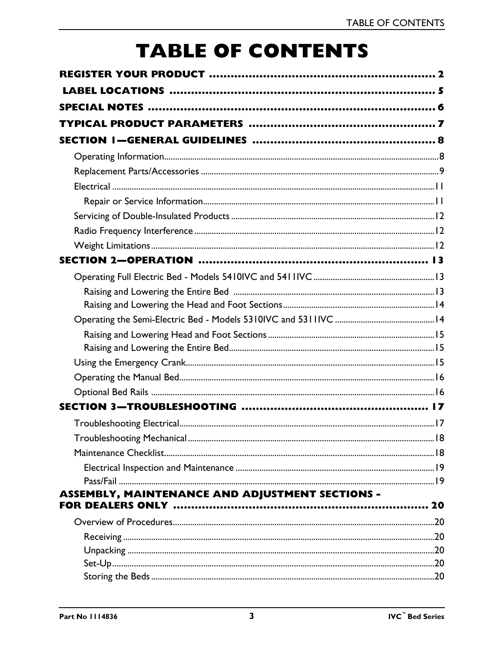# **TABLE OF CONTENTS**

| <b>ASSEMBLY, MAINTENANCE AND ADJUSTMENT SECTIONS -</b> |  |
|--------------------------------------------------------|--|
|                                                        |  |
|                                                        |  |
|                                                        |  |
|                                                        |  |
|                                                        |  |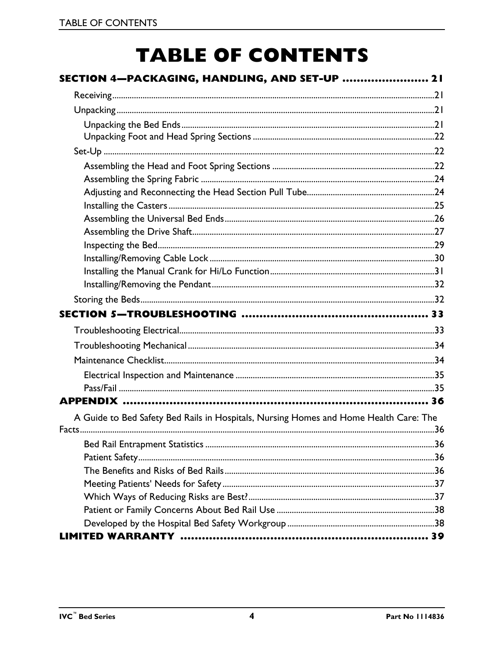# **TABLE OF CONTENTS**

| SECTION 4—PACKAGING, HANDLING, AND SET-UP  21                                         |  |
|---------------------------------------------------------------------------------------|--|
|                                                                                       |  |
|                                                                                       |  |
|                                                                                       |  |
|                                                                                       |  |
|                                                                                       |  |
|                                                                                       |  |
|                                                                                       |  |
|                                                                                       |  |
|                                                                                       |  |
|                                                                                       |  |
|                                                                                       |  |
|                                                                                       |  |
|                                                                                       |  |
|                                                                                       |  |
|                                                                                       |  |
|                                                                                       |  |
|                                                                                       |  |
|                                                                                       |  |
|                                                                                       |  |
|                                                                                       |  |
|                                                                                       |  |
|                                                                                       |  |
|                                                                                       |  |
| A Guide to Bed Safety Bed Rails in Hospitals, Nursing Homes and Home Health Care: The |  |
|                                                                                       |  |
|                                                                                       |  |
|                                                                                       |  |
|                                                                                       |  |
|                                                                                       |  |
|                                                                                       |  |
|                                                                                       |  |
|                                                                                       |  |
|                                                                                       |  |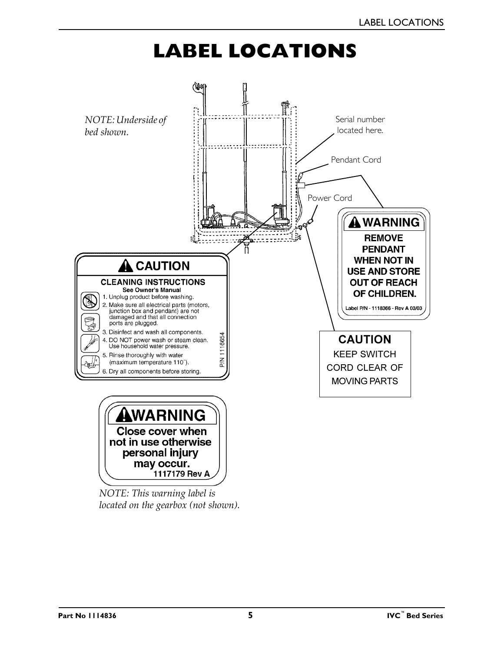# **LABEL LOCATIONS**

<span id="page-4-0"></span>

*NOTE: This warning label is located on the gearbox (not shown).*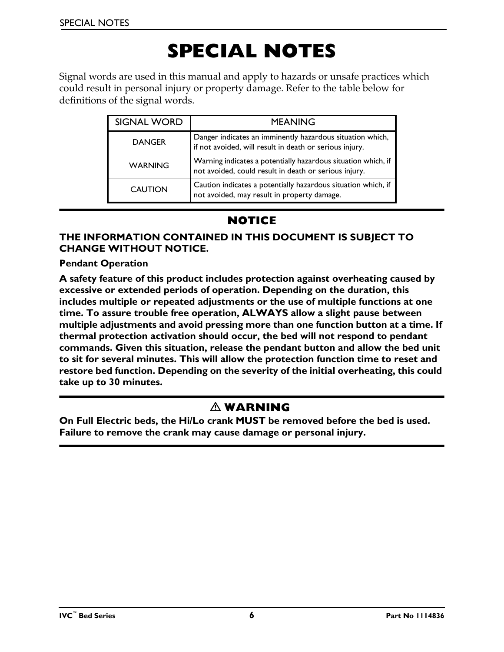# **SPECIAL NOTES**

<span id="page-5-0"></span>Signal words are used in this manual and apply to hazards or unsafe practices which could result in personal injury or property damage. Refer to the table below for definitions of the signal words.

| <b>SIGNAL WORD</b> | <b>MEANING</b>                                                                                                         |
|--------------------|------------------------------------------------------------------------------------------------------------------------|
| <b>DANGER</b>      | Danger indicates an imminently hazardous situation which,<br>if not avoided, will result in death or serious injury.   |
| <b>WARNING</b>     | Warning indicates a potentially hazardous situation which, if<br>not avoided, could result in death or serious injury. |
| <b>CAUTION</b>     | Caution indicates a potentially hazardous situation which, if<br>not avoided, may result in property damage.           |

## **NOTICE**

#### **THE INFORMATION CONTAINED IN THIS DOCUMENT IS SUBJECT TO CHANGE WITHOUT NOTICE.**

#### **Pendant Operation**

**A safety feature of this product includes protection against overheating caused by excessive or extended periods of operation. Depending on the duration, this includes multiple or repeated adjustments or the use of multiple functions at one time. To assure trouble free operation, ALWAYS allow a slight pause between multiple adjustments and avoid pressing more than one function button at a time. If thermal protection activation should occur, the bed will not respond to pendant commands. Given this situation, release the pendant button and allow the bed unit to sit for several minutes. This will allow the protection function time to reset and restore bed function. Depending on the severity of the initial overheating, this could take up to 30 minutes.**

### **WARNING**

**On Full Electric beds, the Hi/Lo crank MUST be removed before the bed is used. Failure to remove the crank may cause damage or personal injury.**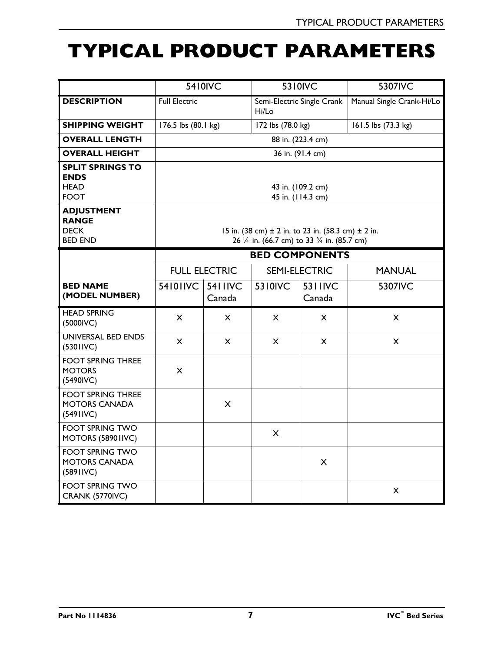# <span id="page-6-0"></span>**TYPICAL PRODUCT PARAMETERS**

|                                                                      |                                                                                                            | 5410IVC                  |                                     | 5310IVC           | 5307IVC                   |
|----------------------------------------------------------------------|------------------------------------------------------------------------------------------------------------|--------------------------|-------------------------------------|-------------------|---------------------------|
| <b>DESCRIPTION</b>                                                   | <b>Full Electric</b>                                                                                       |                          | Semi-Electric Single Crank<br>Hi/Lo |                   | Manual Single Crank-Hi/Lo |
| <b>SHIPPING WEIGHT</b>                                               | 176.5 lbs (80.1 kg)                                                                                        |                          | 172 lbs (78.0 kg)                   |                   | 161.5 lbs (73.3 kg)       |
| <b>OVERALL LENGTH</b>                                                |                                                                                                            |                          |                                     | 88 in. (223.4 cm) |                           |
| <b>OVERALL HEIGHT</b>                                                |                                                                                                            |                          |                                     | 36 in. (91.4 cm)  |                           |
| <b>SPLIT SPRINGS TO</b><br><b>ENDS</b><br><b>HEAD</b><br><b>FOOT</b> | 43 in. (109.2 cm)<br>45 in. (114.3 cm)                                                                     |                          |                                     |                   |                           |
| <b>ADJUSTMENT</b><br><b>RANGE</b><br><b>DECK</b><br><b>BED END</b>   | 15 in. (38 cm) $\pm$ 2 in. to 23 in. (58.3 cm) $\pm$ 2 in.<br>26 1/4 in. (66.7 cm) to 33 3/4 in. (85.7 cm) |                          |                                     |                   |                           |
|                                                                      | <b>BED COMPONENTS</b>                                                                                      |                          |                                     |                   |                           |
|                                                                      | <b>FULL ELECTRIC</b>                                                                                       |                          | <b>SEMI-ELECTRIC</b>                |                   | <b>MANUAL</b>             |
| <b>BED NAME</b><br>(MODEL NUMBER)                                    | 54101IVC                                                                                                   | <b>5411IVC</b><br>Canada | 5310IVC                             | 5311IVC<br>Canada | 5307IVC                   |
| <b>HEAD SPRING</b><br>(5000IVC)                                      | $\mathsf{x}$                                                                                               | $\times$                 | X                                   | X                 | X                         |
| UNIVERSAL BED ENDS<br>(5301IVC)                                      | $\pmb{\times}$                                                                                             | X                        | X                                   | X                 | $\mathsf{x}$              |
| <b>FOOT SPRING THREE</b><br><b>MOTORS</b><br>(5490IVC)               | X                                                                                                          |                          |                                     |                   |                           |
| <b>FOOT SPRING THREE</b><br><b>MOTORS CANADA</b><br>(5491IVC)        |                                                                                                            | X                        |                                     |                   |                           |
| <b>FOOT SPRING TWO</b><br>MOTORS (58901IVC)                          |                                                                                                            |                          | X                                   |                   |                           |
| <b>FOOT SPRING TWO</b><br><b>MOTORS CANADA</b><br>(5891IVC)          |                                                                                                            |                          |                                     | X                 |                           |
| <b>FOOT SPRING TWO</b><br><b>CRANK (5770IVC)</b>                     |                                                                                                            |                          |                                     |                   | X                         |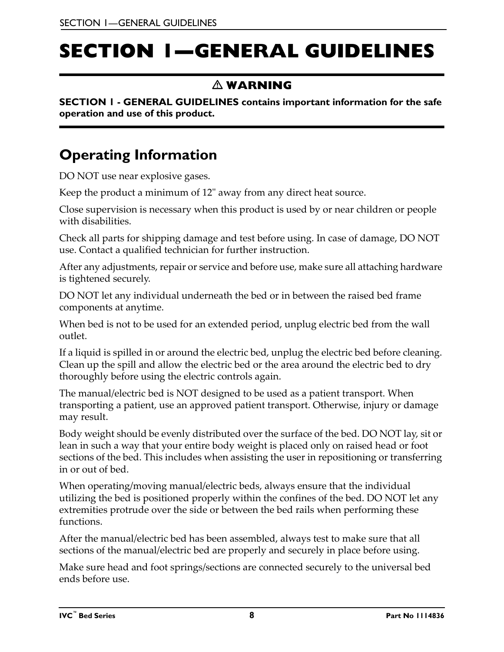# <span id="page-7-0"></span>**SECTION 1—GENERAL GUIDELINES**

## **WARNING**

**SECTION 1 - GENERAL GUIDELINES contains important information for the safe operation and use of this product.**

## <span id="page-7-1"></span>**Operating Information**

DO NOT use near explosive gases.

Keep the product a minimum of 12" away from any direct heat source.

Close supervision is necessary when this product is used by or near children or people with disabilities.

Check all parts for shipping damage and test before using. In case of damage, DO NOT use. Contact a qualified technician for further instruction.

After any adjustments, repair or service and before use, make sure all attaching hardware is tightened securely.

DO NOT let any individual underneath the bed or in between the raised bed frame components at anytime.

When bed is not to be used for an extended period, unplug electric bed from the wall outlet.

If a liquid is spilled in or around the electric bed, unplug the electric bed before cleaning. Clean up the spill and allow the electric bed or the area around the electric bed to dry thoroughly before using the electric controls again.

The manual/electric bed is NOT designed to be used as a patient transport. When transporting a patient, use an approved patient transport. Otherwise, injury or damage may result.

Body weight should be evenly distributed over the surface of the bed. DO NOT lay, sit or lean in such a way that your entire body weight is placed only on raised head or foot sections of the bed. This includes when assisting the user in repositioning or transferring in or out of bed.

When operating/moving manual/electric beds, always ensure that the individual utilizing the bed is positioned properly within the confines of the bed. DO NOT let any extremities protrude over the side or between the bed rails when performing these functions.

After the manual/electric bed has been assembled, always test to make sure that all sections of the manual/electric bed are properly and securely in place before using.

Make sure head and foot springs/sections are connected securely to the universal bed ends before use.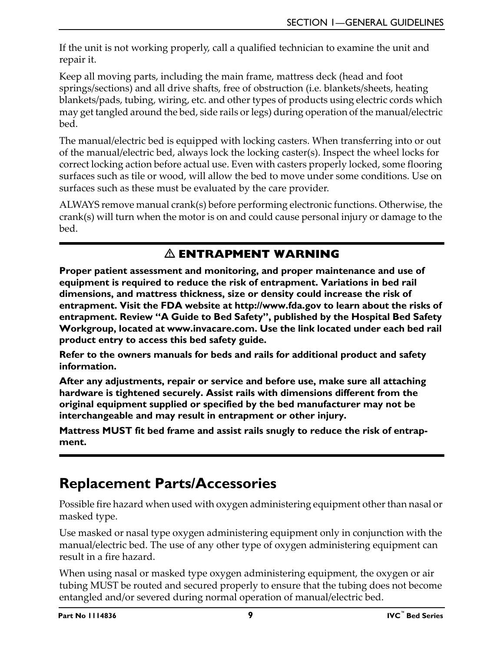If the unit is not working properly, call a qualified technician to examine the unit and repair it.

Keep all moving parts, including the main frame, mattress deck (head and foot springs/sections) and all drive shafts, free of obstruction (i.e. blankets/sheets, heating blankets/pads, tubing, wiring, etc. and other types of products using electric cords which may get tangled around the bed, side rails or legs) during operation of the manual/electric bed.

The manual/electric bed is equipped with locking casters. When transferring into or out of the manual/electric bed, always lock the locking caster(s). Inspect the wheel locks for correct locking action before actual use. Even with casters properly locked, some flooring surfaces such as tile or wood, will allow the bed to move under some conditions. Use on surfaces such as these must be evaluated by the care provider.

ALWAYS remove manual crank(s) before performing electronic functions. Otherwise, the crank(s) will turn when the motor is on and could cause personal injury or damage to the bed.

## **ENTRAPMENT WARNING**

**Proper patient assessment and monitoring, and proper maintenance and use of equipment is required to reduce the risk of entrapment. Variations in bed rail dimensions, and mattress thickness, size or density could increase the risk of entrapment. Visit the FDA website at http://www.fda.gov to learn about the risks of entrapment. Review "A Guide to Bed Safety", published by the Hospital Bed Safety Workgroup, located at www.invacare.com. Use the link located under each bed rail product entry to access this bed safety guide.** 

**Refer to the owners manuals for beds and rails for additional product and safety information.**

**After any adjustments, repair or service and before use, make sure all attaching hardware is tightened securely. Assist rails with dimensions different from the original equipment supplied or specified by the bed manufacturer may not be interchangeable and may result in entrapment or other injury.** 

**Mattress MUST fit bed frame and assist rails snugly to reduce the risk of entrapment.**

## <span id="page-8-0"></span>**Replacement Parts/Accessories**

Possible fire hazard when used with oxygen administering equipment other than nasal or masked type.

Use masked or nasal type oxygen administering equipment only in conjunction with the manual/electric bed. The use of any other type of oxygen administering equipment can result in a fire hazard.

When using nasal or masked type oxygen administering equipment, the oxygen or air tubing MUST be routed and secured properly to ensure that the tubing does not become entangled and/or severed during normal operation of manual/electric bed.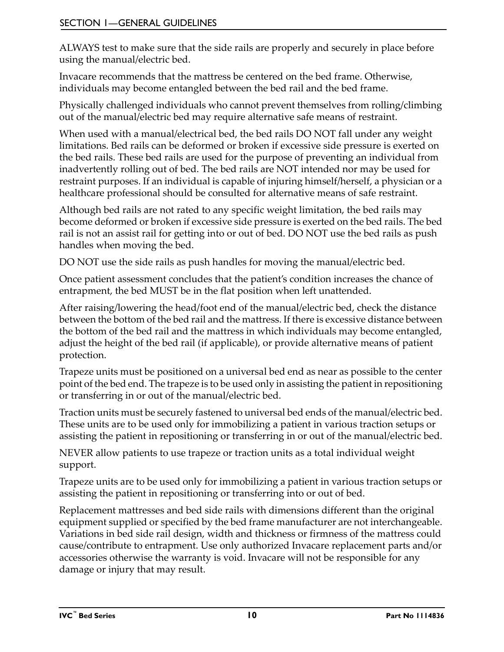ALWAYS test to make sure that the side rails are properly and securely in place before using the manual/electric bed.

Invacare recommends that the mattress be centered on the bed frame. Otherwise, individuals may become entangled between the bed rail and the bed frame.

Physically challenged individuals who cannot prevent themselves from rolling/climbing out of the manual/electric bed may require alternative safe means of restraint.

When used with a manual/electrical bed, the bed rails DO NOT fall under any weight limitations. Bed rails can be deformed or broken if excessive side pressure is exerted on the bed rails. These bed rails are used for the purpose of preventing an individual from inadvertently rolling out of bed. The bed rails are NOT intended nor may be used for restraint purposes. If an individual is capable of injuring himself/herself, a physician or a healthcare professional should be consulted for alternative means of safe restraint.

Although bed rails are not rated to any specific weight limitation, the bed rails may become deformed or broken if excessive side pressure is exerted on the bed rails. The bed rail is not an assist rail for getting into or out of bed. DO NOT use the bed rails as push handles when moving the bed.

DO NOT use the side rails as push handles for moving the manual/electric bed.

Once patient assessment concludes that the patient's condition increases the chance of entrapment, the bed MUST be in the flat position when left unattended.

After raising/lowering the head/foot end of the manual/electric bed, check the distance between the bottom of the bed rail and the mattress. If there is excessive distance between the bottom of the bed rail and the mattress in which individuals may become entangled, adjust the height of the bed rail (if applicable), or provide alternative means of patient protection.

Trapeze units must be positioned on a universal bed end as near as possible to the center point of the bed end. The trapeze is to be used only in assisting the patient in repositioning or transferring in or out of the manual/electric bed.

Traction units must be securely fastened to universal bed ends of the manual/electric bed. These units are to be used only for immobilizing a patient in various traction setups or assisting the patient in repositioning or transferring in or out of the manual/electric bed.

NEVER allow patients to use trapeze or traction units as a total individual weight support.

Trapeze units are to be used only for immobilizing a patient in various traction setups or assisting the patient in repositioning or transferring into or out of bed.

Replacement mattresses and bed side rails with dimensions different than the original equipment supplied or specified by the bed frame manufacturer are not interchangeable. Variations in bed side rail design, width and thickness or firmness of the mattress could cause/contribute to entrapment. Use only authorized Invacare replacement parts and/or accessories otherwise the warranty is void. Invacare will not be responsible for any damage or injury that may result.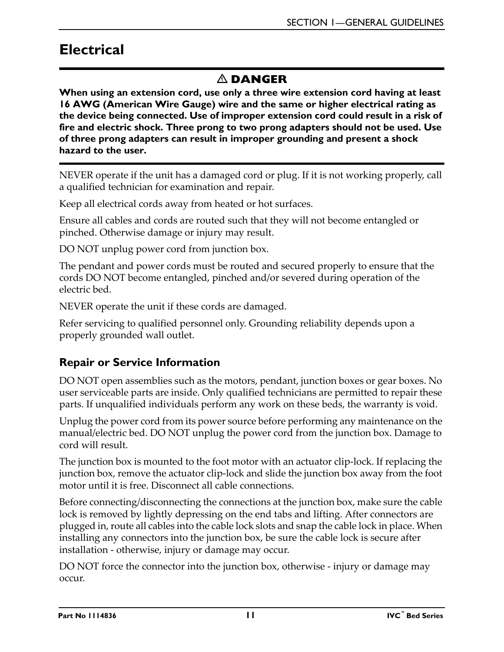## <span id="page-10-0"></span>**Electrical**

## $\triangle$  **DANGER**

**When using an extension cord, use only a three wire extension cord having at least 16 AWG (American Wire Gauge) wire and the same or higher electrical rating as the device being connected. Use of improper extension cord could result in a risk of fire and electric shock. Three prong to two prong adapters should not be used. Use of three prong adapters can result in improper grounding and present a shock hazard to the user.**

NEVER operate if the unit has a damaged cord or plug. If it is not working properly, call a qualified technician for examination and repair.

Keep all electrical cords away from heated or hot surfaces.

Ensure all cables and cords are routed such that they will not become entangled or pinched. Otherwise damage or injury may result.

DO NOT unplug power cord from junction box.

The pendant and power cords must be routed and secured properly to ensure that the cords DO NOT become entangled, pinched and/or severed during operation of the electric bed.

NEVER operate the unit if these cords are damaged.

Refer servicing to qualified personnel only. Grounding reliability depends upon a properly grounded wall outlet.

## <span id="page-10-1"></span>**Repair or Service Information**

DO NOT open assemblies such as the motors, pendant, junction boxes or gear boxes. No user serviceable parts are inside. Only qualified technicians are permitted to repair these parts. If unqualified individuals perform any work on these beds, the warranty is void.

Unplug the power cord from its power source before performing any maintenance on the manual/electric bed. DO NOT unplug the power cord from the junction box. Damage to cord will result.

The junction box is mounted to the foot motor with an actuator clip-lock. If replacing the junction box, remove the actuator clip-lock and slide the junction box away from the foot motor until it is free. Disconnect all cable connections.

Before connecting/disconnecting the connections at the junction box, make sure the cable lock is removed by lightly depressing on the end tabs and lifting. After connectors are plugged in, route all cables into the cable lock slots and snap the cable lock in place. When installing any connectors into the junction box, be sure the cable lock is secure after installation - otherwise, injury or damage may occur.

DO NOT force the connector into the junction box, otherwise - injury or damage may occur.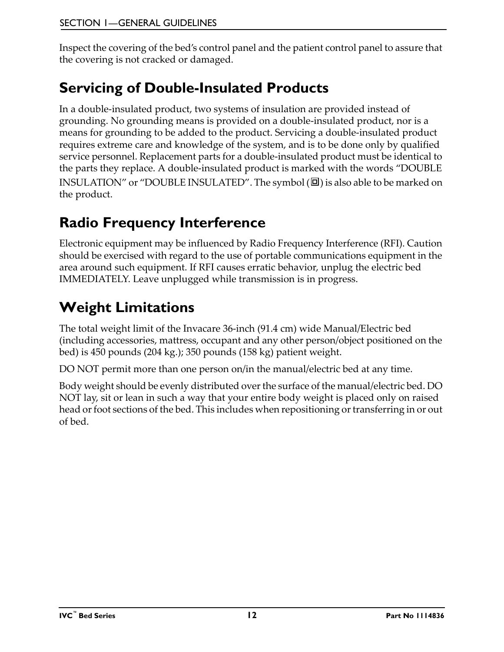Inspect the covering of the bed's control panel and the patient control panel to assure that the covering is not cracked or damaged.

## <span id="page-11-0"></span>**Servicing of Double-Insulated Products**

In a double-insulated product, two systems of insulation are provided instead of grounding. No grounding means is provided on a double-insulated product, nor is a means for grounding to be added to the product. Servicing a double-insulated product requires extreme care and knowledge of the system, and is to be done only by qualified service personnel. Replacement parts for a double-insulated product must be identical to the parts they replace. A double-insulated product is marked with the words "DOUBLE INSULATION" or "DOUBLE INSULATED". The symbol  $(\square)$  is also able to be marked on the product.

# <span id="page-11-1"></span>**Radio Frequency Interference**

Electronic equipment may be influenced by Radio Frequency Interference (RFI). Caution should be exercised with regard to the use of portable communications equipment in the area around such equipment. If RFI causes erratic behavior, unplug the electric bed IMMEDIATELY. Leave unplugged while transmission is in progress.

# <span id="page-11-2"></span>**Weight Limitations**

The total weight limit of the Invacare 36-inch (91.4 cm) wide Manual/Electric bed (including accessories, mattress, occupant and any other person/object positioned on the bed) is 450 pounds (204 kg.); 350 pounds (158 kg) patient weight.

DO NOT permit more than one person on/in the manual/electric bed at any time.

Body weight should be evenly distributed over the surface of the manual/electric bed. DO NOT lay, sit or lean in such a way that your entire body weight is placed only on raised head or foot sections of the bed. This includes when repositioning or transferring in or out of bed.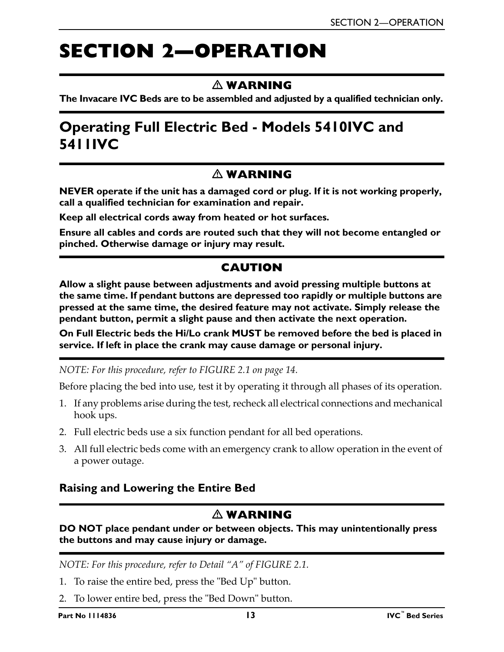# <span id="page-12-0"></span>**SECTION 2—OPERATION**

## **WARNING**

**The Invacare IVC Beds are to be assembled and adjusted by a qualified technician only.**

## <span id="page-12-1"></span>**Operating Full Electric Bed - Models 5410IVC and 5411IVC**

### **WARNING**

**NEVER operate if the unit has a damaged cord or plug. If it is not working properly, call a qualified technician for examination and repair.**

**Keep all electrical cords away from heated or hot surfaces.**

**Ensure all cables and cords are routed such that they will not become entangled or pinched. Otherwise damage or injury may result.**

## **CAUTION**

**Allow a slight pause between adjustments and avoid pressing multiple buttons at the same time. If pendant buttons are depressed too rapidly or multiple buttons are pressed at the same time, the desired feature may not activate. Simply release the pendant button, permit a slight pause and then activate the next operation.**

**On Full Electric beds the Hi/Lo crank MUST be removed before the bed is placed in service. If left in place the crank may cause damage or personal injury.**

*NOTE: For this procedure, refer to [FIGURE 2.1 on page 14](#page-13-2).*

Before placing the bed into use, test it by operating it through all phases of its operation.

- 1. If any problems arise during the test, recheck all electrical connections and mechanical hook ups.
- 2. Full electric beds use a six function pendant for all bed operations.
- 3. All full electric beds come with an emergency crank to allow operation in the event of a power outage.

#### <span id="page-12-2"></span>**Raising and Lowering the Entire Bed**

#### **WARNING**

**DO NOT place pendant under or between objects. This may unintentionally press the buttons and may cause injury or damage.**

*NOTE: For this procedure, refer to Detail "A" of [FIGURE 2.1](#page-13-2).*

- 1. To raise the entire bed, press the "Bed Up" button.
- 2. To lower entire bed, press the "Bed Down" button.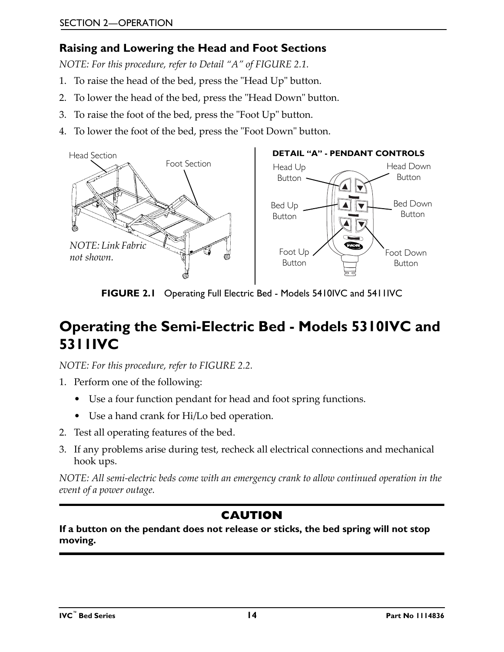## <span id="page-13-0"></span>**Raising and Lowering the Head and Foot Sections**

*NOTE: For this procedure, refer to Detail "A" of [FIGURE 2.1](#page-13-2).*

- 1. To raise the head of the bed, press the "Head Up" button.
- 2. To lower the head of the bed, press the "Head Down" button.
- 3. To raise the foot of the bed, press the "Foot Up" button.
- 4. To lower the foot of the bed, press the "Foot Down" button.



**FIGURE 2.1** [Operating Full Electric Bed - Models 5410IVC and 5411IVC](#page-12-1)

## <span id="page-13-2"></span><span id="page-13-1"></span>**Operating the Semi-Electric Bed - Models 5310IVC and 5311IVC**

*NOTE: For this procedure, refer to [FIGURE 2.2](#page-14-3).*

- 1. Perform one of the following:
	- Use a four function pendant for head and foot spring functions.
	- Use a hand crank for Hi/Lo bed operation.
- 2. Test all operating features of the bed.
- 3. If any problems arise during test, recheck all electrical connections and mechanical hook ups.

*NOTE: All semi-electric beds come with an emergency crank to allow continued operation in the event of a power outage.*

## **CAUTION**

#### **If a button on the pendant does not release or sticks, the bed spring will not stop moving.**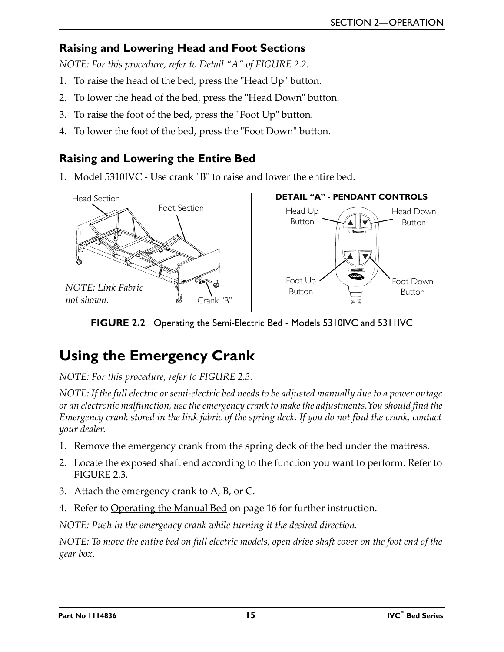### <span id="page-14-0"></span>**Raising and Lowering Head and Foot Sections**

*NOTE: For this procedure, refer to Detail "A" of [FIGURE 2.2](#page-14-3).*

- 1. To raise the head of the bed, press the "Head Up" button.
- 2. To lower the head of the bed, press the "Head Down" button.
- 3. To raise the foot of the bed, press the "Foot Up" button.
- 4. To lower the foot of the bed, press the "Foot Down" button.

### <span id="page-14-1"></span>**Raising and Lowering the Entire Bed**

1. Model 5310IVC - Use crank "B" to raise and lower the entire bed.



**FIGURE 2.2** [Operating the Semi-Electric Bed - Models 5310IVC and 5311IVC](#page-13-1)

## <span id="page-14-3"></span><span id="page-14-2"></span>**Using the Emergency Crank**

*NOTE: For this procedure, refer to [FIGURE 2.3](#page-15-2).*

*NOTE: If the full electric or semi-electric bed needs to be adjusted manually due to a power outage or an electronic malfunction, use the emergency crank to make the adjustments.You should find the Emergency crank stored in the link fabric of the spring deck. If you do not find the crank, contact your dealer.* 

- 1. Remove the emergency crank from the spring deck of the bed under the mattress.
- 2. Locate the exposed shaft end according to the function you want to perform. Refer to [FIGURE 2.3.](#page-15-2)
- 3. Attach the emergency crank to A, B, or C.
- 4. [Refer to Operating the Manual Bed on page 16](#page-15-0) for further instruction.

*NOTE: Push in the emergency crank while turning it the desired direction.*

*NOTE: To move the entire bed on full electric models, open drive shaft cover on the foot end of the gear box.*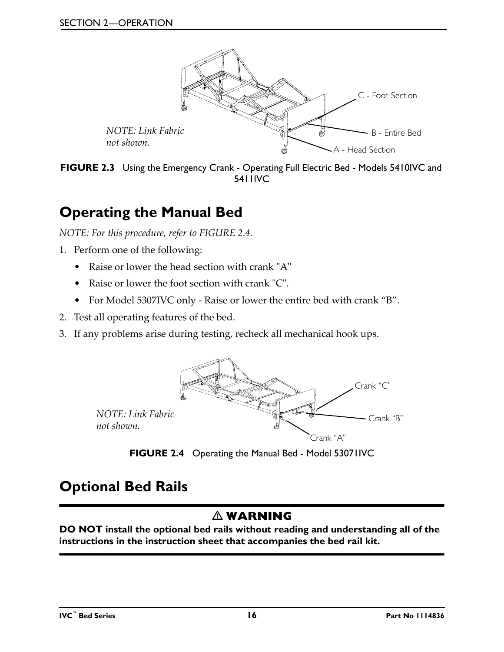

<span id="page-15-2"></span>**FIGURE 2.3** [Using the Emergency Crank](#page-14-2) - [Operating Full Electric Bed - Models 5410IVC and](#page-12-1)  [5411IVC](#page-12-1)

## <span id="page-15-4"></span><span id="page-15-0"></span>**Operating the Manual Bed**

*NOTE: For this procedure, refer to [FIGURE 2.4](#page-15-3).*

- 1. Perform one of the following:
	- Raise or lower the head section with crank "A"
	- Raise or lower the foot section with crank "C".
	- For Model 5307IVC only Raise or lower the entire bed with crank "B".
- 2. Test all operating features of the bed.
- 3. If any problems arise during testing, recheck all mechanical hook ups.



**FIGURE 2.4** [Operating the Manual Bed](#page-15-0) - Model 53071IVC

## <span id="page-15-3"></span><span id="page-15-1"></span>**Optional Bed Rails**

## **WARNING**

**DO NOT install the optional bed rails without reading and understanding all of the instructions in the instruction sheet that accompanies the bed rail kit.**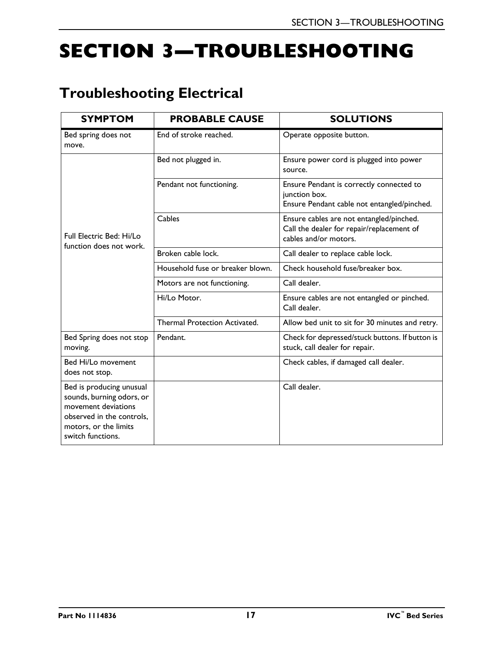# <span id="page-16-0"></span>**SECTION 3—TROUBLESHOOTING**

## <span id="page-16-1"></span>**Troubleshooting Electrical**

| <b>SYMPTOM</b>                                                                                                                                          | <b>PROBABLE CAUSE</b>            | <b>SOLUTIONS</b>                                                                                               |
|---------------------------------------------------------------------------------------------------------------------------------------------------------|----------------------------------|----------------------------------------------------------------------------------------------------------------|
| Bed spring does not<br>move.                                                                                                                            | End of stroke reached.           | Operate opposite button.                                                                                       |
| Full Electric Bed: Hi/Lo<br>function does not work.                                                                                                     | Bed not plugged in.              | Ensure power cord is plugged into power<br>source.                                                             |
|                                                                                                                                                         | Pendant not functioning.         | Ensure Pendant is correctly connected to<br>junction box.<br>Ensure Pendant cable not entangled/pinched.       |
|                                                                                                                                                         | Cables                           | Ensure cables are not entangled/pinched.<br>Call the dealer for repair/replacement of<br>cables and/or motors. |
|                                                                                                                                                         | Broken cable lock.               | Call dealer to replace cable lock.                                                                             |
|                                                                                                                                                         | Household fuse or breaker blown. | Check household fuse/breaker box.                                                                              |
|                                                                                                                                                         | Motors are not functioning.      | Call dealer.                                                                                                   |
|                                                                                                                                                         | Hi/Lo Motor.                     | Ensure cables are not entangled or pinched.<br>Call dealer.                                                    |
|                                                                                                                                                         | Thermal Protection Activated.    | Allow bed unit to sit for 30 minutes and retry.                                                                |
| Bed Spring does not stop<br>moving.                                                                                                                     | Pendant.                         | Check for depressed/stuck buttons. If button is<br>stuck, call dealer for repair.                              |
| Bed Hi/Lo movement<br>does not stop.                                                                                                                    |                                  | Check cables, if damaged call dealer.                                                                          |
| Bed is producing unusual<br>sounds, burning odors, or<br>movement deviations<br>observed in the controls.<br>motors, or the limits<br>switch functions. |                                  | Call dealer.                                                                                                   |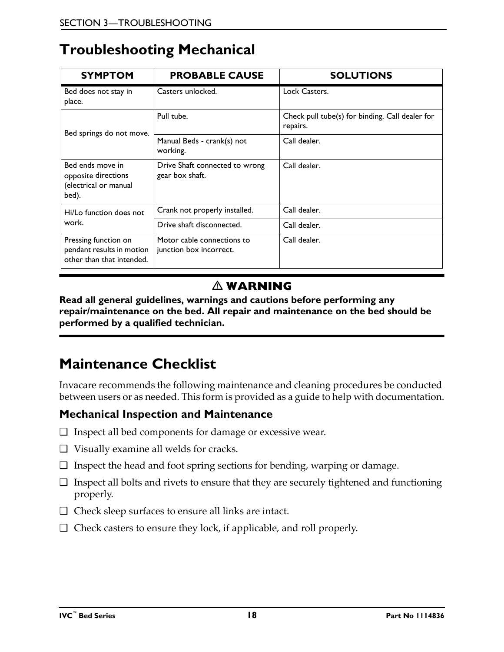## <span id="page-17-0"></span>**Troubleshooting Mechanical**

| <b>SYMPTOM</b>                                                                 | <b>PROBABLE CAUSE</b>                                 | <b>SOLUTIONS</b>                                            |
|--------------------------------------------------------------------------------|-------------------------------------------------------|-------------------------------------------------------------|
| Bed does not stay in<br>place.                                                 | Casters unlocked.                                     | Lock Casters.                                               |
| Bed springs do not move.                                                       | Pull tube.                                            | Check pull tube(s) for binding. Call dealer for<br>repairs. |
|                                                                                | Manual Beds - crank(s) not<br>working.                | Call dealer.                                                |
| Bed ends move in<br>opposite directions<br>(electrical or manual<br>bed).      | Drive Shaft connected to wrong<br>gear box shaft.     | Call dealer.                                                |
| Hi/Lo function does not                                                        | Crank not properly installed.                         | Call dealer.                                                |
| work.                                                                          | Drive shaft disconnected.                             | Call dealer.                                                |
| Pressing function on<br>pendant results in motion<br>other than that intended. | Motor cable connections to<br>junction box incorrect. | Call dealer.                                                |

## **WARNING**

**Read all general guidelines, warnings and cautions before performing any repair/maintenance on the bed. All repair and maintenance on the bed should be performed by a qualified technician.**

## <span id="page-17-1"></span>**Maintenance Checklist**

Invacare recommends the following maintenance and cleaning procedures be conducted between users or as needed. This form is provided as a guide to help with documentation.

### **Mechanical Inspection and Maintenance**

- ❑ Inspect all bed components for damage or excessive wear.
- ❑ Visually examine all welds for cracks.
- ❑ Inspect the head and foot spring sections for bending, warping or damage.
- ❑ Inspect all bolts and rivets to ensure that they are securely tightened and functioning properly.
- ❑ Check sleep surfaces to ensure all links are intact.
- ❑ Check casters to ensure they lock, if applicable, and roll properly.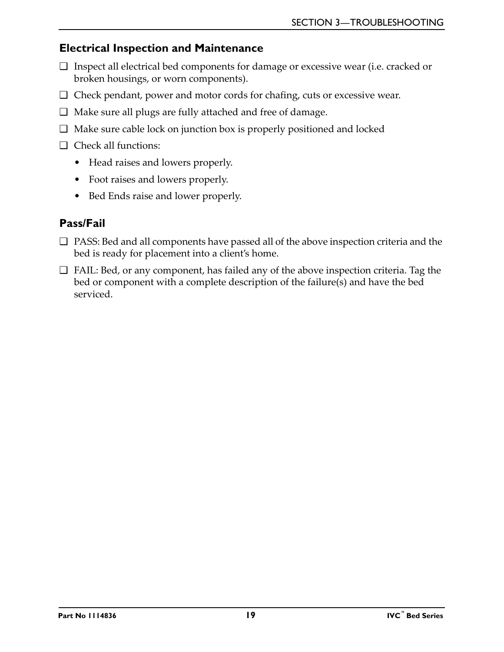#### <span id="page-18-0"></span>**Electrical Inspection and Maintenance**

- ❑ Inspect all electrical bed components for damage or excessive wear (i.e. cracked or broken housings, or worn components).
- ❑ Check pendant, power and motor cords for chafing, cuts or excessive wear.
- ❑ Make sure all plugs are fully attached and free of damage.
- ❑ Make sure cable lock on junction box is properly positioned and locked
- ❑ Check all functions:
	- Head raises and lowers properly.
	- Foot raises and lowers properly.
	- Bed Ends raise and lower properly.

## <span id="page-18-1"></span>**Pass/Fail**

- ❑ PASS: Bed and all components have passed all of the above inspection criteria and the bed is ready for placement into a client's home.
- ❑ FAIL: Bed, or any component, has failed any of the above inspection criteria. Tag the bed or component with a complete description of the failure(s) and have the bed serviced.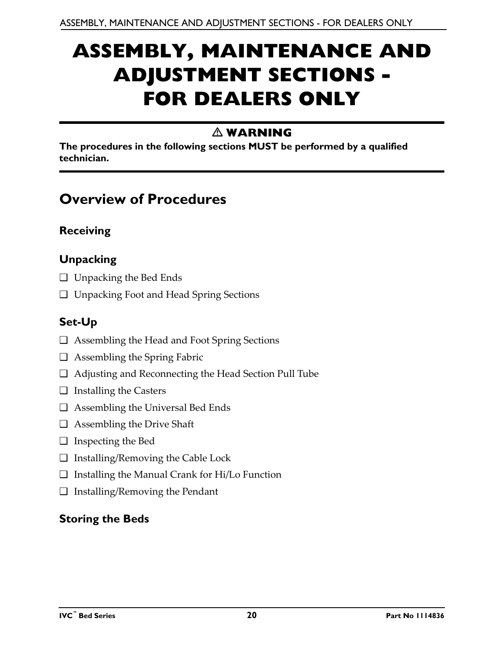# <span id="page-19-0"></span>**ASSEMBLY, MAINTENANCE AND ADJUSTMENT SECTIONS - FOR DEALERS ONLY**

## **WARNING**

**The procedures in the following sections MUST be performed by a qualified technician.**

## <span id="page-19-1"></span>**Overview of Procedures**

## <span id="page-19-2"></span>**Receiving**

## <span id="page-19-3"></span>**Unpacking**

- ❑ Unpacking the Bed Ends
- ❑ Unpacking Foot and Head Spring Sections

## <span id="page-19-4"></span>**Set-Up**

- ❑ Assembling the Head and Foot Spring Sections
- ❑ Assembling the Spring Fabric
- ❑ Adjusting and Reconnecting the Head Section Pull Tube
- ❑ Installing the Casters
- ❑ Assembling the Universal Bed Ends
- ❑ Assembling the Drive Shaft
- ❑ Inspecting the Bed
- ❑ Installing/Removing the Cable Lock
- ❑ Installing the Manual Crank for Hi/Lo Function
- ❑ Installing/Removing the Pendant

## <span id="page-19-5"></span>**Storing the Beds**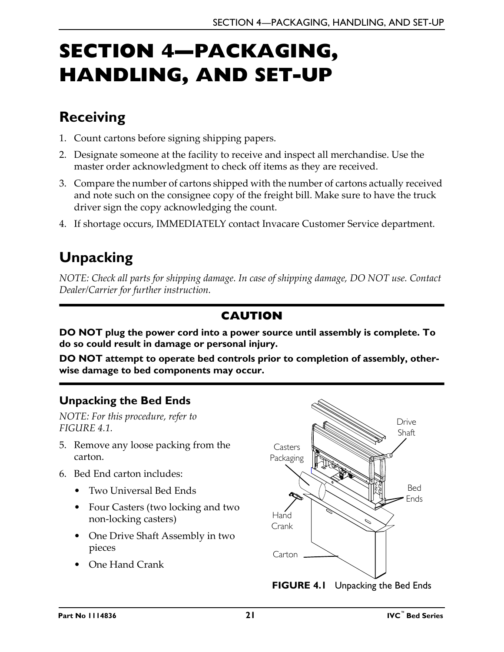# <span id="page-20-0"></span>**SECTION 4—PACKAGING, HANDLING, AND SET-UP**

# <span id="page-20-1"></span>**Receiving**

- 1. Count cartons before signing shipping papers.
- 2. Designate someone at the facility to receive and inspect all merchandise. Use the master order acknowledgment to check off items as they are received.
- 3. Compare the number of cartons shipped with the number of cartons actually received and note such on the consignee copy of the freight bill. Make sure to have the truck driver sign the copy acknowledging the count.
- 4. If shortage occurs, IMMEDIATELY contact Invacare Customer Service department.

# <span id="page-20-2"></span>**Unpacking**

*NOTE: Check all parts for shipping damage. In case of shipping damage, DO NOT use. Contact Dealer/Carrier for further instruction.*

## **CAUTION**

**DO NOT plug the power cord into a power source until assembly is complete. To do so could result in damage or personal injury.**

**DO NOT attempt to operate bed controls prior to completion of assembly, otherwise damage to bed components may occur.**

## <span id="page-20-3"></span>**Unpacking the Bed Ends**

*NOTE: For this procedure, refer to FIGURE 4.1.*

- 5. Remove any loose packing from the carton.
- 6. Bed End carton includes:
	- Two Universal Bed Ends
	- Four Casters (two locking and two non-locking casters)
	- One Drive Shaft Assembly in two pieces
	- One Hand Crank

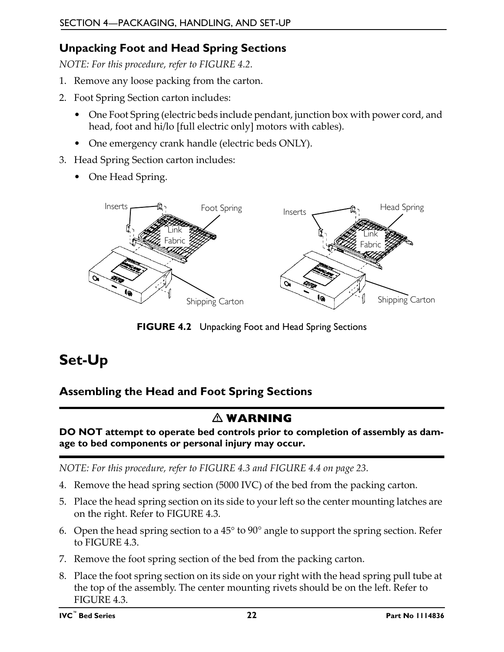## <span id="page-21-0"></span>**Unpacking Foot and Head Spring Sections**

*NOTE: For this procedure, refer to FIGURE 4.2.*

- 1. Remove any loose packing from the carton.
- 2. Foot Spring Section carton includes:
	- One Foot Spring (electric beds include pendant, junction box with power cord, and head, foot and hi/lo [full electric only] motors with cables).
	- One emergency crank handle (electric beds ONLY).
- 3. Head Spring Section carton includes:
	- One Head Spring.



**FIGURE 4.2** [Unpacking Foot and Head Spring Sections](#page-21-0)

## <span id="page-21-1"></span>**Set-Up**

## <span id="page-21-2"></span>**Assembling the Head and Foot Spring Sections**

## **WARNING**

**DO NOT attempt to operate bed controls prior to completion of assembly as damage to bed components or personal injury may occur.**

*NOTE: For this procedure, refer to FIGURE 4.3 and FIGURE 4.4 on page 23.*

- 4. Remove the head spring section (5000 IVC) of the bed from the packing carton.
- 5. Place the head spring section on its side to your left so the center mounting latches are on the right. Refer to FIGURE 4.3.
- 6. Open the head spring section to a 45° to 90° angle to support the spring section. Refer to FIGURE 4.3.
- 7. Remove the foot spring section of the bed from the packing carton.
- 8. Place the foot spring section on its side on your right with the head spring pull tube at the top of the assembly. The center mounting rivets should be on the left. Refer to FIGURE 4.3.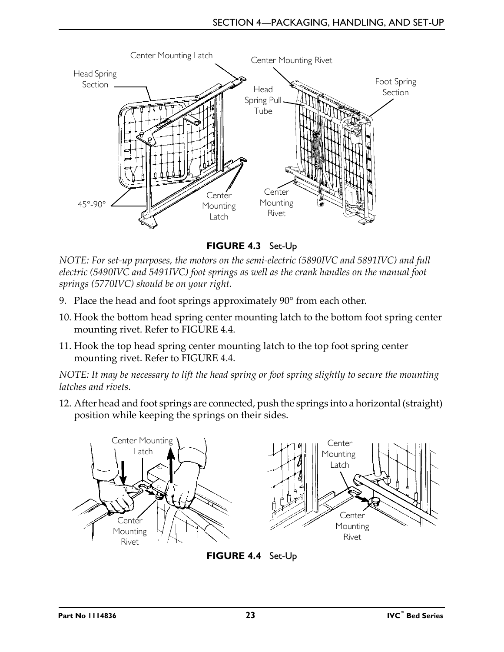

**FIGURE 4.3** [Set-Up](#page-21-1)

*NOTE: For set-up purposes, the motors on the semi-electric (5890IVC and 5891IVC) and full electric (5490IVC and 5491IVC) foot springs as well as the crank handles on the manual foot springs (5770IVC) should be on your right.* 

- 9. Place the head and foot springs approximately 90° from each other.
- 10. Hook the bottom head spring center mounting latch to the bottom foot spring center mounting rivet. Refer to FIGURE 4.4.
- 11. Hook the top head spring center mounting latch to the top foot spring center mounting rivet. Refer to FIGURE 4.4.

*NOTE: It may be necessary to lift the head spring or foot spring slightly to secure the mounting latches and rivets.*

12. After head and foot springs are connected, push the springs into a horizontal (straight) position while keeping the springs on their sides.



**FIGURE 4.4** [Set-Up](#page-21-1)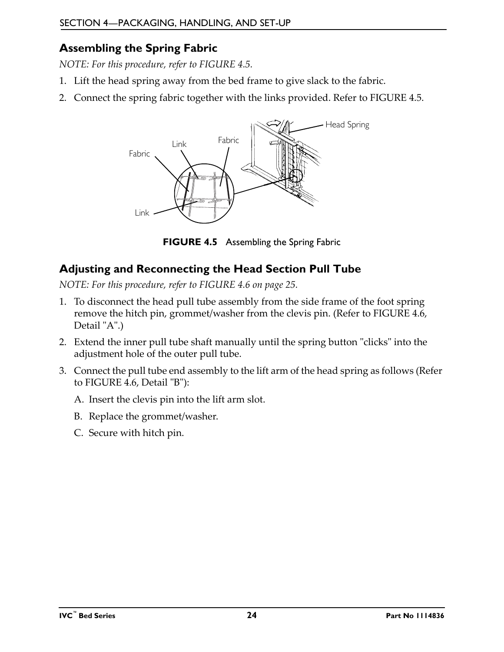## <span id="page-23-0"></span>**Assembling the Spring Fabric**

*NOTE: For this procedure, refer to FIGURE 4.5.*

- 1. Lift the head spring away from the bed frame to give slack to the fabric.
- 2. Connect the spring fabric together with the links provided. Refer to FIGURE 4.5.



**FIGURE 4.5** [Assembling the Spring Fabric](#page-23-0)

## <span id="page-23-2"></span><span id="page-23-1"></span>**Adjusting and Reconnecting the Head Section Pull Tube**

*NOTE: For this procedure, refer to FIGURE 4.6 on page 25.*

- 1. To disconnect the head pull tube assembly from the side frame of the foot spring remove the hitch pin, grommet/washer from the clevis pin. (Refer to FIGURE 4.6, Detail "A".)
- 2. Extend the inner pull tube shaft manually until the spring button "clicks" into the adjustment hole of the outer pull tube.
- 3. Connect the pull tube end assembly to the lift arm of the head spring as follows (Refer to FIGURE 4.6, Detail "B"):
	- A. Insert the clevis pin into the lift arm slot.
	- B. Replace the grommet/washer.
	- C. Secure with hitch pin.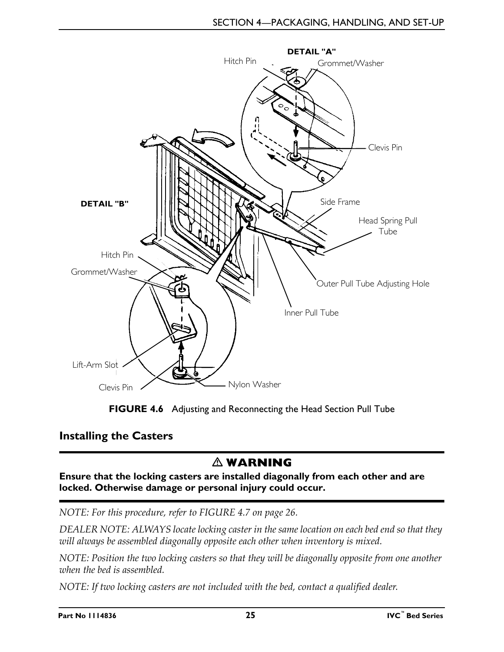



### <span id="page-24-1"></span><span id="page-24-0"></span>**Installing the Casters**

## **WARNING**

**Ensure that the locking casters are installed diagonally from each other and are locked. Otherwise damage or personal injury could occur.**

*NOTE: For this procedure, refer to FIGURE 4.7 on page 26.*

*DEALER NOTE: ALWAYS locate locking caster in the same location on each bed end so that they will always be assembled diagonally opposite each other when inventory is mixed.*

*NOTE: Position the two locking casters so that they will be diagonally opposite from one another when the bed is assembled.*

*NOTE: If two locking casters are not included with the bed, contact a qualified dealer.*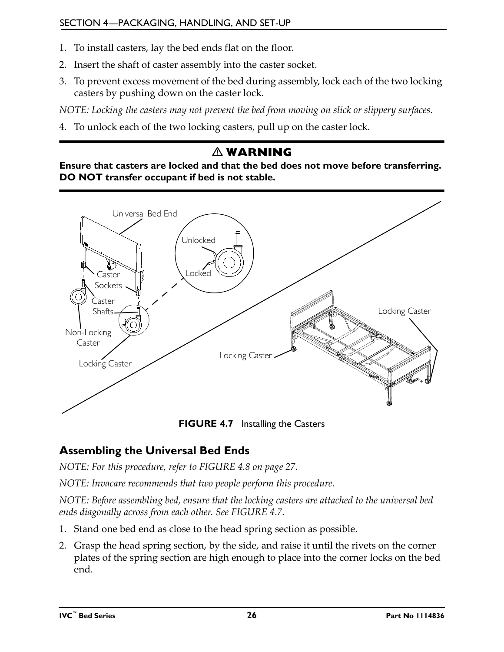- 1. To install casters, lay the bed ends flat on the floor.
- 2. Insert the shaft of caster assembly into the caster socket.
- 3. To prevent excess movement of the bed during assembly, lock each of the two locking casters by pushing down on the caster lock.

*NOTE: Locking the casters may not prevent the bed from moving on slick or slippery surfaces.*

4. To unlock each of the two locking casters, pull up on the caster lock.

## **WARNING**

**Ensure that casters are locked and that the bed does not move before transferring. DO NOT transfer occupant if bed is not stable.** 



**FIGURE 4.7** [Installing the Casters](#page-24-0)

## <span id="page-25-0"></span>**Assembling the Universal Bed Ends**

*NOTE: For this procedure, refer to FIGURE 4.8 on page 27.*

*NOTE: Invacare recommends that two people perform this procedure.*

*NOTE: Before assembling bed, ensure that the locking casters are attached to the universal bed ends diagonally across from each other. See FIGURE 4.7.*

- 1. Stand one bed end as close to the head spring section as possible.
- 2. Grasp the head spring section, by the side, and raise it until the rivets on the corner plates of the spring section are high enough to place into the corner locks on the bed end.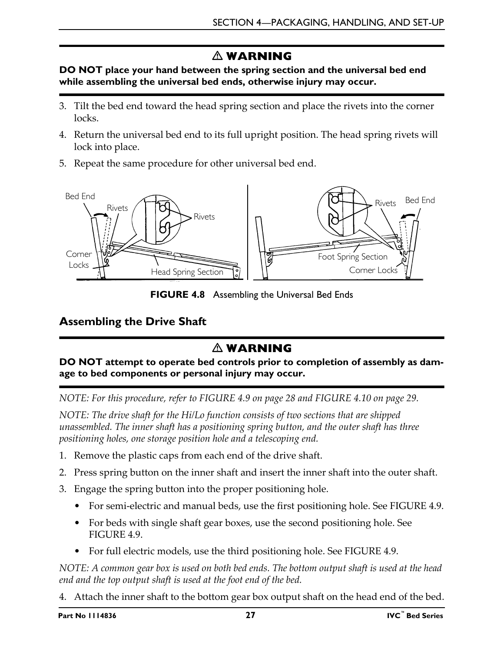## **WARNING**

#### **DO NOT place your hand between the spring section and the universal bed end while assembling the universal bed ends, otherwise injury may occur.**

- 3. Tilt the bed end toward the head spring section and place the rivets into the corner locks.
- 4. Return the universal bed end to its full upright position. The head spring rivets will lock into place.
- 5. Repeat the same procedure for other universal bed end.



**FIGURE 4.8** [Assembling the Universal Bed Ends](#page-25-0)

### <span id="page-26-1"></span><span id="page-26-0"></span>**Assembling the Drive Shaft**

## **WARNING**

#### **DO NOT attempt to operate bed controls prior to completion of assembly as damage to bed components or personal injury may occur.**

*NOTE: For this procedure, refer to [FIGURE 4.9 on page 28](#page-27-0) and [FIGURE 4.10 on page 29](#page-28-1).*

*NOTE: The drive shaft for the Hi/Lo function consists of two sections that are shipped unassembled. The inner shaft has a positioning spring button, and the outer shaft has three positioning holes, one storage position hole and a telescoping end.* 

- 1. Remove the plastic caps from each end of the drive shaft.
- 2. Press spring button on the inner shaft and insert the inner shaft into the outer shaft.
- 3. Engage the spring button into the proper positioning hole.
	- For semi-electric and manual beds, use the first positioning hole. See [FIGURE 4.9](#page-27-0).
	- For beds with single shaft gear boxes, use the second positioning hole. See [FIGURE 4.9.](#page-27-0)
	- For full electric models, use the third positioning hole. See [FIGURE 4.9](#page-27-0).

*NOTE: A common gear box is used on both bed ends. The bottom output shaft is used at the head end and the top output shaft is used at the foot end of the bed.*

4. Attach the inner shaft to the bottom gear box output shaft on the head end of the bed.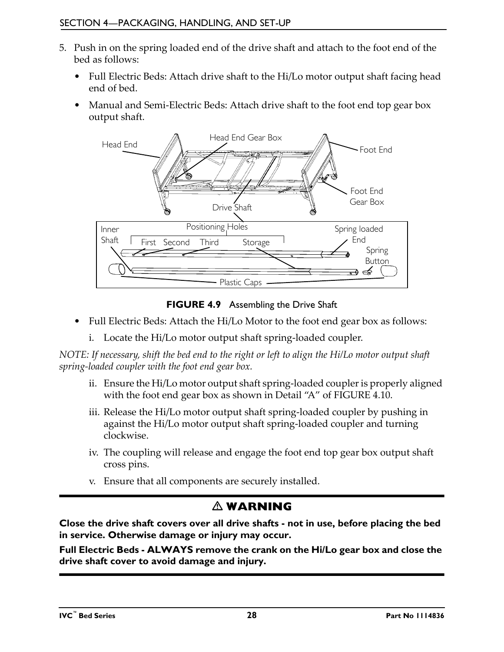- 5. Push in on the spring loaded end of the drive shaft and attach to the foot end of the bed as follows:
	- Full Electric Beds: Attach drive shaft to the Hi/Lo motor output shaft facing head end of bed.
	- Manual and Semi-Electric Beds: Attach drive shaft to the foot end top gear box output shaft.



**FIGURE 4.9** [Assembling the Drive Shaft](#page-26-0)

- <span id="page-27-0"></span>• Full Electric Beds: Attach the Hi/Lo Motor to the foot end gear box as follows:
	- i. Locate the Hi/Lo motor output shaft spring-loaded coupler.

*NOTE: If necessary, shift the bed end to the right or left to align the Hi/Lo motor output shaft spring-loaded coupler with the foot end gear box.*

- ii. Ensure the Hi/Lo motor output shaft spring-loaded coupler is properly aligned with the foot end gear box as shown in Detail "A" of [FIGURE 4.10](#page-28-1).
- iii. Release the Hi/Lo motor output shaft spring-loaded coupler by pushing in against the Hi/Lo motor output shaft spring-loaded coupler and turning clockwise.
- iv. The coupling will release and engage the foot end top gear box output shaft cross pins.
- v. Ensure that all components are securely installed.

## **WARNING**

**Close the drive shaft covers over all drive shafts - not in use, before placing the bed in service. Otherwise damage or injury may occur.**

**Full Electric Beds - ALWAYS remove the crank on the Hi/Lo gear box and close the drive shaft cover to avoid damage and injury.**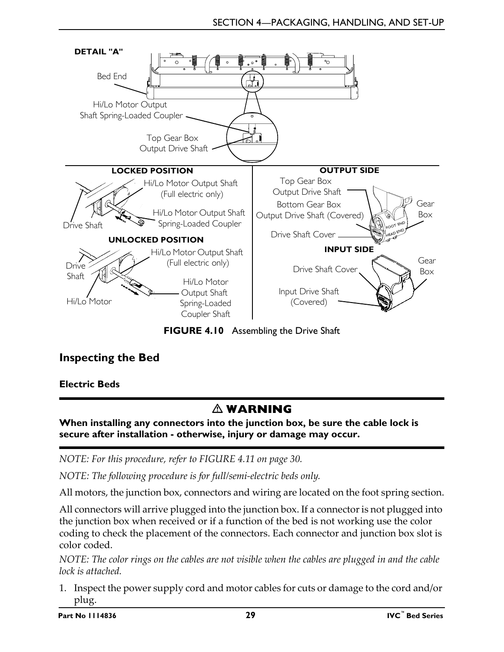

**FIGURE 4.10** [Assembling the Drive Shaft](#page-26-0)

## <span id="page-28-3"></span><span id="page-28-1"></span><span id="page-28-0"></span>**Inspecting the Bed**

<span id="page-28-2"></span>**Electric Beds**

## **WARNING**

**When installing any connectors into the junction box, be sure the cable lock is secure after installation - otherwise, injury or damage may occur.**

*NOTE: For this procedure, refer to [FIGURE 4.11 on page 30.](#page-29-1)*

*NOTE: The following procedure is for full/semi-electric beds only.*

All motors, the junction box, connectors and wiring are located on the foot spring section.

All connectors will arrive plugged into the junction box. If a connector is not plugged into the junction box when received or if a function of the bed is not working use the color coding to check the placement of the connectors. Each connector and junction box slot is color coded.

*NOTE: The color rings on the cables are not visible when the cables are plugged in and the cable lock is attached.*

1. Inspect the power supply cord and motor cables for cuts or damage to the cord and/or plug.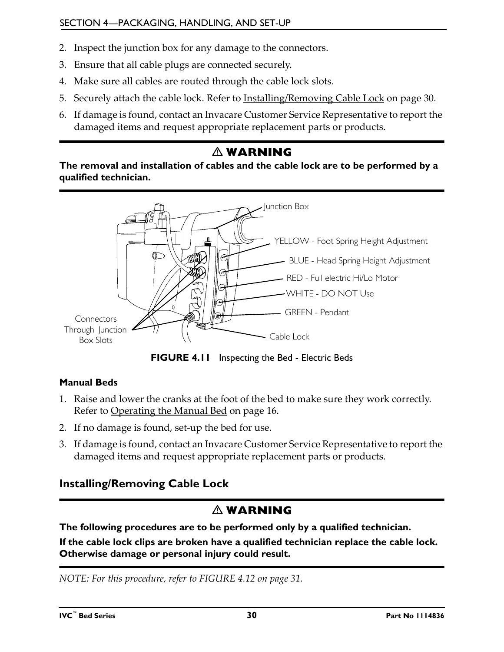- 2. Inspect the junction box for any damage to the connectors.
- 3. Ensure that all cable plugs are connected securely.
- 4. Make sure all cables are routed through the cable lock slots.
- 5. Securely attach the cable lock. Refer to **Installing/Removing Cable Lock** on page 30.
- 6. If damage is found, contact an Invacare Customer Service Representative to report the damaged items and request appropriate replacement parts or products.

## **WARNING**

**The removal and installation of cables and the cable lock are to be performed by a qualified technician.**



**FIGURE 4.11** [Inspecting the Bed](#page-28-0) - [Electric Beds](#page-28-2)

#### <span id="page-29-1"></span>**Manual Beds**

- 1. Raise and lower the cranks at the foot of the bed to make sure they work correctly. [Refer to Operating the Manual Bed on page 16](#page-15-4).
- 2. If no damage is found, set-up the bed for use.
- 3. If damage is found, contact an Invacare Customer Service Representative to report the damaged items and request appropriate replacement parts or products.

### <span id="page-29-0"></span>**Installing/Removing Cable Lock**

## **WARNING**

**The following procedures are to be performed only by a qualified technician.**

**If the cable lock clips are broken have a qualified technician replace the cable lock. Otherwise damage or personal injury could result.**

*NOTE: For this procedure, refer to [FIGURE 4.12 on page 31](#page-30-1).*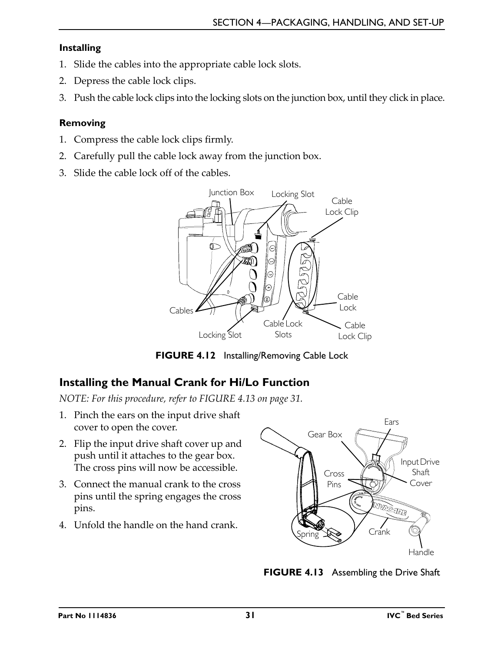#### **Installing**

- 1. Slide the cables into the appropriate cable lock slots.
- 2. Depress the cable lock clips.
- 3. Push the cable lock clips into the locking slots on the junction box, until they click in place.

#### **Removing**

- 1. Compress the cable lock clips firmly.
- 2. Carefully pull the cable lock away from the junction box.
- 3. Slide the cable lock off of the cables.



**FIGURE 4.12** [Installing/Removing Cable Lock](#page-29-0)

## <span id="page-30-2"></span><span id="page-30-1"></span><span id="page-30-0"></span>**Installing the Manual Crank for Hi/Lo Function**

*NOTE: For this procedure, refer to FIGURE 4.13 on page 31.*

- 1. Pinch the ears on the input drive shaft cover to open the cover.
- 2. Flip the input drive shaft cover up and push until it attaches to the gear box. The cross pins will now be accessible.
- 3. Connect the manual crank to the cross pins until the spring engages the cross pins.
- 4. Unfold the handle on the hand crank.



**FIGURE 4.13** [Assembling the Drive Shaft](#page-28-1)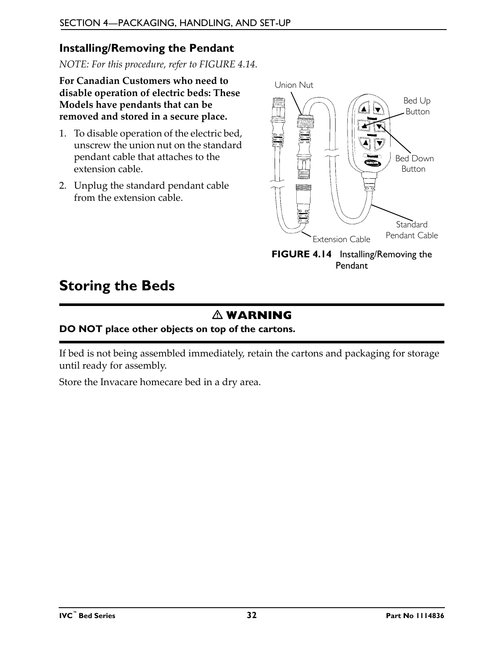### <span id="page-31-2"></span><span id="page-31-0"></span>**Installing/Removing the Pendant**

*NOTE: For this procedure, refer to FIGURE 4.14.*

**For Canadian Customers who need to disable operation of electric beds: These Models have pendants that can be removed and stored in a secure place.**

- 1. To disable operation of the electric bed, unscrew the union nut on the standard pendant cable that attaches to the extension cable.
- 2. Unplug the standard pendant cable from the extension cable.



[Pendant](#page-31-0)

## <span id="page-31-1"></span>**Storing the Beds**

## **WARNING**

#### **DO NOT place other objects on top of the cartons.**

If bed is not being assembled immediately, retain the cartons and packaging for storage until ready for assembly.

Store the Invacare homecare bed in a dry area.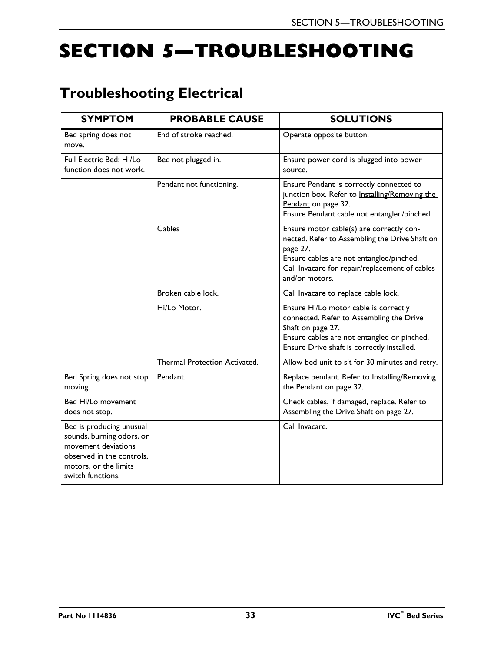# <span id="page-32-0"></span>**SECTION 5—TROUBLESHOOTING**

# <span id="page-32-1"></span>**Troubleshooting Electrical**

| <b>SYMPTOM</b>                                                                                                                                          | <b>PROBABLE CAUSE</b>         | <b>SOLUTIONS</b>                                                                                                                                                                                                       |  |
|---------------------------------------------------------------------------------------------------------------------------------------------------------|-------------------------------|------------------------------------------------------------------------------------------------------------------------------------------------------------------------------------------------------------------------|--|
| Bed spring does not<br>move.                                                                                                                            | End of stroke reached.        | Operate opposite button.                                                                                                                                                                                               |  |
| Full Electric Bed: Hi/Lo<br>function does not work.                                                                                                     | Bed not plugged in.           | Ensure power cord is plugged into power<br>source.                                                                                                                                                                     |  |
|                                                                                                                                                         | Pendant not functioning.      | Ensure Pendant is correctly connected to<br>junction box. Refer to Installing/Removing the<br>Pendant on page 32.<br>Ensure Pendant cable not entangled/pinched.                                                       |  |
|                                                                                                                                                         | Cables                        | Ensure motor cable(s) are correctly con-<br>nected. Refer to Assembling the Drive Shaft on<br>page 27.<br>Ensure cables are not entangled/pinched.<br>Call Invacare for repair/replacement of cables<br>and/or motors. |  |
|                                                                                                                                                         | Broken cable lock.            | Call Invacare to replace cable lock.                                                                                                                                                                                   |  |
|                                                                                                                                                         | Hi/Lo Motor.                  | Ensure Hi/Lo motor cable is correctly<br>connected. Refer to Assembling the Drive<br>Shaft on page 27.<br>Ensure cables are not entangled or pinched.<br>Ensure Drive shaft is correctly installed.                    |  |
|                                                                                                                                                         | Thermal Protection Activated. | Allow bed unit to sit for 30 minutes and retry.                                                                                                                                                                        |  |
| Bed Spring does not stop<br>moving.                                                                                                                     | Pendant.                      | Replace pendant. Refer to Installing/Removing<br>the Pendant on page 32.                                                                                                                                               |  |
| Bed Hi/Lo movement<br>does not stop.                                                                                                                    |                               | Check cables, if damaged, replace. Refer to<br>Assembling the Drive Shaft on page 27.                                                                                                                                  |  |
| Bed is producing unusual<br>sounds, burning odors, or<br>movement deviations<br>observed in the controls,<br>motors, or the limits<br>switch functions. |                               | Call Invacare.                                                                                                                                                                                                         |  |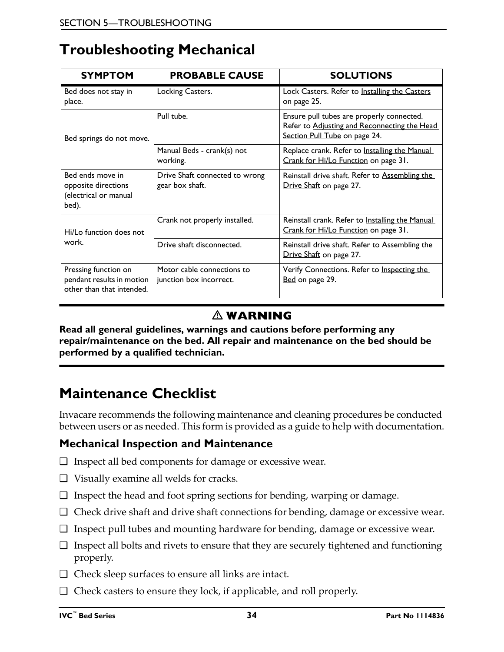## <span id="page-33-0"></span>**Troubleshooting Mechanical**

| <b>SYMPTOM</b>                                                                 | <b>PROBABLE CAUSE</b>                                 | <b>SOLUTIONS</b>                                                                                                           |  |
|--------------------------------------------------------------------------------|-------------------------------------------------------|----------------------------------------------------------------------------------------------------------------------------|--|
| Bed does not stay in<br>place.                                                 | Locking Casters.                                      | Lock Casters. Refer to Installing the Casters<br>on page 25.                                                               |  |
| Bed springs do not move.                                                       | Pull tube.                                            | Ensure pull tubes are properly connected.<br>Refer to Adjusting and Reconnecting the Head<br>Section Pull Tube on page 24. |  |
|                                                                                | Manual Beds - crank(s) not<br>working.                | Replace crank. Refer to Installing the Manual<br>Crank for Hi/Lo Function on page 31.                                      |  |
| Bed ends move in<br>opposite directions<br>(electrical or manual<br>bed).      | Drive Shaft connected to wrong<br>gear box shaft.     | Reinstall drive shaft. Refer to Assembling the<br>Drive Shaft on page 27.                                                  |  |
| Hi/Lo function does not<br>work.                                               | Crank not properly installed.                         | Reinstall crank. Refer to Installing the Manual<br>Crank for Hi/Lo Function on page 31.                                    |  |
|                                                                                | Drive shaft disconnected.                             | Reinstall drive shaft. Refer to Assembling the<br>Drive Shaft on page 27.                                                  |  |
| Pressing function on<br>pendant results in motion<br>other than that intended. | Motor cable connections to<br>junction box incorrect. | Verify Connections. Refer to Inspecting the<br>Bed on page 29.                                                             |  |

## **WARNING**

**Read all general guidelines, warnings and cautions before performing any repair/maintenance on the bed. All repair and maintenance on the bed should be performed by a qualified technician.**

## <span id="page-33-1"></span>**Maintenance Checklist**

Invacare recommends the following maintenance and cleaning procedures be conducted between users or as needed. This form is provided as a guide to help with documentation.

### **Mechanical Inspection and Maintenance**

- ❑ Inspect all bed components for damage or excessive wear.
- ❑ Visually examine all welds for cracks.
- ❑ Inspect the head and foot spring sections for bending, warping or damage.
- ❑ Check drive shaft and drive shaft connections for bending, damage or excessive wear.
- ❑ Inspect pull tubes and mounting hardware for bending, damage or excessive wear.
- ❑ Inspect all bolts and rivets to ensure that they are securely tightened and functioning properly.
- ❑ Check sleep surfaces to ensure all links are intact.
- ❑ Check casters to ensure they lock, if applicable, and roll properly.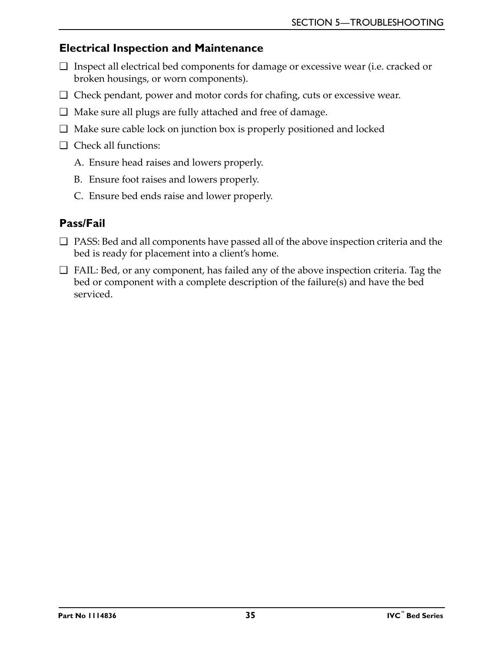#### <span id="page-34-0"></span>**Electrical Inspection and Maintenance**

- ❑ Inspect all electrical bed components for damage or excessive wear (i.e. cracked or broken housings, or worn components).
- ❑ Check pendant, power and motor cords for chafing, cuts or excessive wear.
- ❑ Make sure all plugs are fully attached and free of damage.
- ❑ Make sure cable lock on junction box is properly positioned and locked
- ❑ Check all functions:
	- A. Ensure head raises and lowers properly.
	- B. Ensure foot raises and lowers properly.
	- C. Ensure bed ends raise and lower properly.

## <span id="page-34-1"></span>**Pass/Fail**

- ❑ PASS: Bed and all components have passed all of the above inspection criteria and the bed is ready for placement into a client's home.
- ❑ FAIL: Bed, or any component, has failed any of the above inspection criteria. Tag the bed or component with a complete description of the failure(s) and have the bed serviced.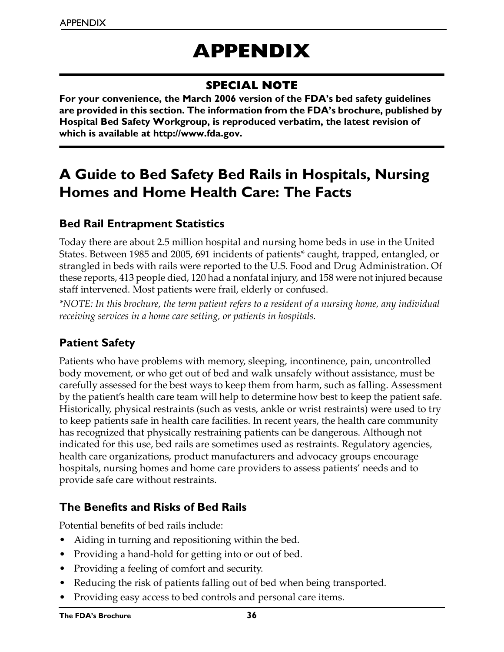# **APPENDIX**

## **SPECIAL NOTE**

<span id="page-35-0"></span>**For your convenience, the March 2006 version of the FDA's bed safety guidelines are provided in this section. The information from the FDA's brochure, published by Hospital Bed Safety Workgroup, is reproduced verbatim, the latest revision of which is available at http://www.fda.gov.**

## <span id="page-35-1"></span>**A Guide to Bed Safety Bed Rails in Hospitals, Nursing Homes and Home Health Care: The Facts**

### <span id="page-35-2"></span>**Bed Rail Entrapment Statistics**

Today there are about 2.5 million hospital and nursing home beds in use in the United States. Between 1985 and 2005, 691 incidents of patients\* caught, trapped, entangled, or strangled in beds with rails were reported to the U.S. Food and Drug Administration. Of these reports, 413 people died, 120 had a nonfatal injury, and 158 were not injured because staff intervened. Most patients were frail, elderly or confused.

*\*NOTE: In this brochure, the term patient refers to a resident of a nursing home, any individual receiving services in a home care setting, or patients in hospitals.*

## <span id="page-35-3"></span>**Patient Safety**

Patients who have problems with memory, sleeping, incontinence, pain, uncontrolled body movement, or who get out of bed and walk unsafely without assistance, must be carefully assessed for the best ways to keep them from harm, such as falling. Assessment by the patient's health care team will help to determine how best to keep the patient safe. Historically, physical restraints (such as vests, ankle or wrist restraints) were used to try to keep patients safe in health care facilities. In recent years, the health care community has recognized that physically restraining patients can be dangerous. Although not indicated for this use, bed rails are sometimes used as restraints. Regulatory agencies, health care organizations, product manufacturers and advocacy groups encourage hospitals, nursing homes and home care providers to assess patients' needs and to provide safe care without restraints.

## <span id="page-35-4"></span>**The Benefits and Risks of Bed Rails**

Potential benefits of bed rails include:

- Aiding in turning and repositioning within the bed.
- Providing a hand-hold for getting into or out of bed.
- Providing a feeling of comfort and security.
- Reducing the risk of patients falling out of bed when being transported.
- Providing easy access to bed controls and personal care items.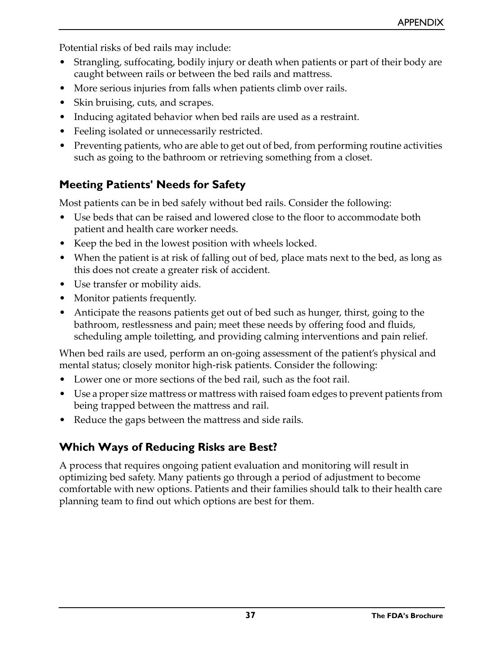Potential risks of bed rails may include:

- Strangling, suffocating, bodily injury or death when patients or part of their body are caught between rails or between the bed rails and mattress.
- More serious injuries from falls when patients climb over rails.
- Skin bruising, cuts, and scrapes.
- Inducing agitated behavior when bed rails are used as a restraint.
- Feeling isolated or unnecessarily restricted.
- Preventing patients, who are able to get out of bed, from performing routine activities such as going to the bathroom or retrieving something from a closet.

## <span id="page-36-0"></span>**Meeting Patients' Needs for Safety**

Most patients can be in bed safely without bed rails. Consider the following:

- Use beds that can be raised and lowered close to the floor to accommodate both patient and health care worker needs.
- Keep the bed in the lowest position with wheels locked.
- When the patient is at risk of falling out of bed, place mats next to the bed, as long as this does not create a greater risk of accident.
- Use transfer or mobility aids.
- Monitor patients frequently.
- Anticipate the reasons patients get out of bed such as hunger, thirst, going to the bathroom, restlessness and pain; meet these needs by offering food and fluids, scheduling ample toiletting, and providing calming interventions and pain relief.

When bed rails are used, perform an on-going assessment of the patient's physical and mental status; closely monitor high-risk patients. Consider the following:

- Lower one or more sections of the bed rail, such as the foot rail.
- Use a proper size mattress or mattress with raised foam edges to prevent patients from being trapped between the mattress and rail.
- Reduce the gaps between the mattress and side rails.

## <span id="page-36-1"></span>**Which Ways of Reducing Risks are Best?**

A process that requires ongoing patient evaluation and monitoring will result in optimizing bed safety. Many patients go through a period of adjustment to become comfortable with new options. Patients and their families should talk to their health care planning team to find out which options are best for them.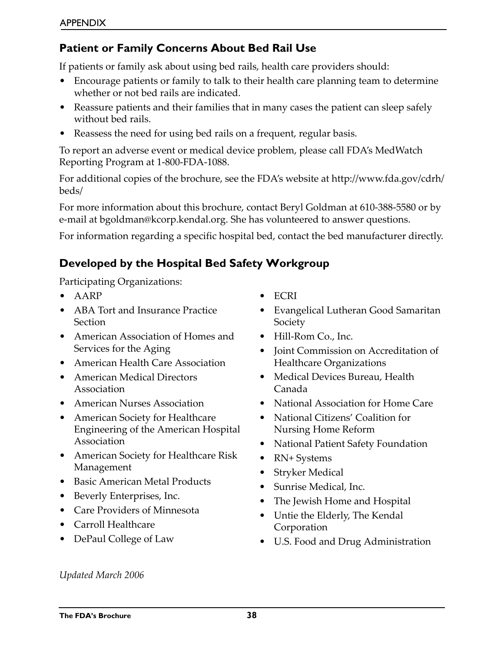## <span id="page-37-0"></span>**Patient or Family Concerns About Bed Rail Use**

If patients or family ask about using bed rails, health care providers should:

- Encourage patients or family to talk to their health care planning team to determine whether or not bed rails are indicated.
- Reassure patients and their families that in many cases the patient can sleep safely without bed rails.
- Reassess the need for using bed rails on a frequent, regular basis.

To report an adverse event or medical device problem, please call FDA's MedWatch Reporting Program at 1-800-FDA-1088.

For additional copies of the brochure, see the FDA's website at http://www.fda.gov/cdrh/ beds/

For more information about this brochure, contact Beryl Goldman at 610-388-5580 or by e-mail at bgoldman@kcorp.kendal.org. She has volunteered to answer questions.

For information regarding a specific hospital bed, contact the bed manufacturer directly.

## <span id="page-37-1"></span>**Developed by the Hospital Bed Safety Workgroup**

Participating Organizations:

- AARP
- ABA Tort and Insurance Practice Section
- American Association of Homes and Services for the Aging
- American Health Care Association
- American Medical Directors Association
- American Nurses Association
- American Society for Healthcare Engineering of the American Hospital Association
- American Society for Healthcare Risk Management
- Basic American Metal Products
- Beverly Enterprises, Inc.
- Care Providers of Minnesota
- Carroll Healthcare
- DePaul College of Law
- ECRI
- Evangelical Lutheran Good Samaritan Society
- Hill-Rom Co., Inc.
- Joint Commission on Accreditation of Healthcare Organizations
- Medical Devices Bureau, Health Canada
- National Association for Home Care
- National Citizens' Coalition for Nursing Home Reform
- National Patient Safety Foundation
- RN+ Systems
- Stryker Medical
- Sunrise Medical, Inc.
- The Jewish Home and Hospital
- Untie the Elderly, The Kendal Corporation
- U.S. Food and Drug Administration

*Updated March 2006*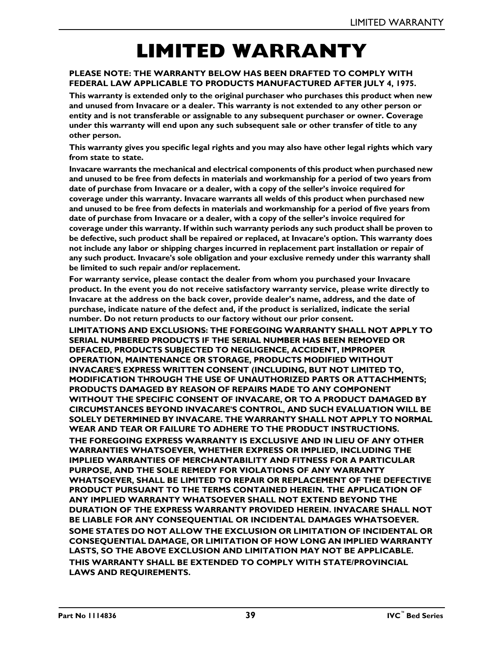# **LIMITED WARRANTY**

#### <span id="page-38-0"></span>**PLEASE NOTE: THE WARRANTY BELOW HAS BEEN DRAFTED TO COMPLY WITH FEDERAL LAW APPLICABLE TO PRODUCTS MANUFACTURED AFTER JULY 4, 1975.**

**This warranty is extended only to the original purchaser who purchases this product when new and unused from Invacare or a dealer. This warranty is not extended to any other person or entity and is not transferable or assignable to any subsequent purchaser or owner. Coverage under this warranty will end upon any such subsequent sale or other transfer of title to any other person.**

**This warranty gives you specific legal rights and you may also have other legal rights which vary from state to state.**

**Invacare warrants the mechanical and electrical components of this product when purchased new and unused to be free from defects in materials and workmanship for a period of two years from date of purchase from Invacare or a dealer, with a copy of the seller's invoice required for coverage under this warranty. Invacare warrants all welds of this product when purchased new and unused to be free from defects in materials and workmanship for a period of five years from date of purchase from Invacare or a dealer, with a copy of the seller's invoice required for coverage under this warranty. If within such warranty periods any such product shall be proven to be defective, such product shall be repaired or replaced, at Invacare's option. This warranty does not include any labor or shipping charges incurred in replacement part installation or repair of any such product. Invacare's sole obligation and your exclusive remedy under this warranty shall be limited to such repair and/or replacement.**

**For warranty service, please contact the dealer from whom you purchased your Invacare product. In the event you do not receive satisfactory warranty service, please write directly to Invacare at the address on the back cover, provide dealer's name, address, and the date of purchase, indicate nature of the defect and, if the product is serialized, indicate the serial number. Do not return products to our factory without our prior consent.**

**LIMITATIONS AND EXCLUSIONS: THE FOREGOING WARRANTY SHALL NOT APPLY TO SERIAL NUMBERED PRODUCTS IF THE SERIAL NUMBER HAS BEEN REMOVED OR DEFACED, PRODUCTS SUBJECTED TO NEGLIGENCE, ACCIDENT, IMPROPER OPERATION, MAINTENANCE OR STORAGE, PRODUCTS MODIFIED WITHOUT INVACARE'S EXPRESS WRITTEN CONSENT (INCLUDING, BUT NOT LIMITED TO, MODIFICATION THROUGH THE USE OF UNAUTHORIZED PARTS OR ATTACHMENTS; PRODUCTS DAMAGED BY REASON OF REPAIRS MADE TO ANY COMPONENT WITHOUT THE SPECIFIC CONSENT OF INVACARE, OR TO A PRODUCT DAMAGED BY CIRCUMSTANCES BEYOND INVACARE'S CONTROL, AND SUCH EVALUATION WILL BE SOLELY DETERMINED BY INVACARE. THE WARRANTY SHALL NOT APPLY TO NORMAL WEAR AND TEAR OR FAILURE TO ADHERE TO THE PRODUCT INSTRUCTIONS. THE FOREGOING EXPRESS WARRANTY IS EXCLUSIVE AND IN LIEU OF ANY OTHER WARRANTIES WHATSOEVER, WHETHER EXPRESS OR IMPLIED, INCLUDING THE IMPLIED WARRANTIES OF MERCHANTABILITY AND FITNESS FOR A PARTICULAR PURPOSE, AND THE SOLE REMEDY FOR VIOLATIONS OF ANY WARRANTY WHATSOEVER, SHALL BE LIMITED TO REPAIR OR REPLACEMENT OF THE DEFECTIVE PRODUCT PURSUANT TO THE TERMS CONTAINED HEREIN. THE APPLICATION OF ANY IMPLIED WARRANTY WHATSOEVER SHALL NOT EXTEND BEYOND THE DURATION OF THE EXPRESS WARRANTY PROVIDED HEREIN. INVACARE SHALL NOT BE LIABLE FOR ANY CONSEQUENTIAL OR INCIDENTAL DAMAGES WHATSOEVER. SOME STATES DO NOT ALLOW THE EXCLUSION OR LIMITATION OF INCIDENTAL OR CONSEQUENTIAL DAMAGE, OR LIMITATION OF HOW LONG AN IMPLIED WARRANTY LASTS, SO THE ABOVE EXCLUSION AND LIMITATION MAY NOT BE APPLICABLE. THIS WARRANTY SHALL BE EXTENDED TO COMPLY WITH STATE/PROVINCIAL LAWS AND REQUIREMENTS.**